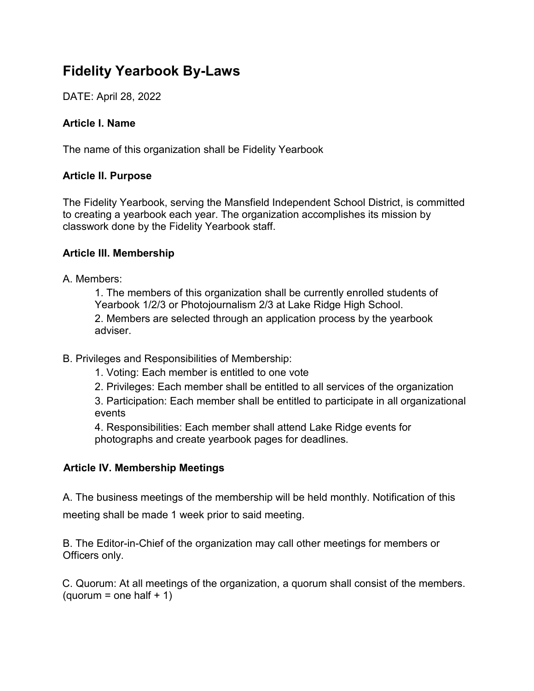## **Fidelity Yearbook By-Laws**

DATE: April 28, 2022

## **Article I. Name**

The name of this organization shall be Fidelity Yearbook

## **Article II. Purpose**

The Fidelity Yearbook, serving the Mansfield Independent School District, is committed to creating a yearbook each year. The organization accomplishes its mission by classwork done by the Fidelity Yearbook staff.

## **Article III. Membership**

A. Members:

1. The members of this organization shall be currently enrolled students of Yearbook 1/2/3 or Photojournalism 2/3 at Lake Ridge High School. 2. Members are selected through an application process by the yearbook adviser.

- B. Privileges and Responsibilities of Membership:
	- 1. Voting: Each member is entitled to one vote
	- 2. Privileges: Each member shall be entitled to all services of the organization

3. Participation: Each member shall be entitled to participate in all organizational events

4. Responsibilities: Each member shall attend Lake Ridge events for photographs and create yearbook pages for deadlines.

## **Article IV. Membership Meetings**

A. The business meetings of the membership will be held monthly. Notification of this meeting shall be made 1 week prior to said meeting.

B. The Editor-in-Chief of the organization may call other meetings for members or Officers only.

C. Quorum: At all meetings of the organization, a quorum shall consist of the members. (quorum = one half  $+1$ )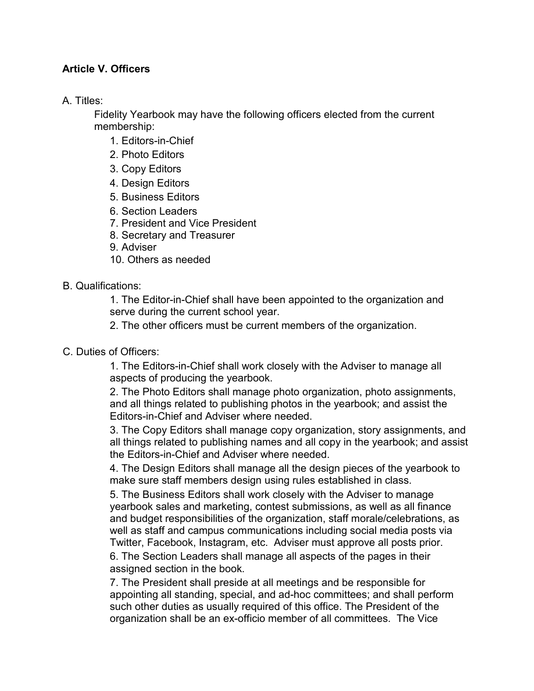## **Article V. Officers**

A. Titles:

Fidelity Yearbook may have the following officers elected from the current membership:

- 1. Editors-in-Chief
- 2. Photo Editors
- 3. Copy Editors
- 4. Design Editors
- 5. Business Editors
- 6. Section Leaders
- 7. President and Vice President
- 8. Secretary and Treasurer
- 9. Adviser
- 10. Others as needed

B. Qualifications:

1. The Editor-in-Chief shall have been appointed to the organization and serve during the current school year.

2. The other officers must be current members of the organization.

C. Duties of Officers:

1. The Editors-in-Chief shall work closely with the Adviser to manage all aspects of producing the yearbook.

2. The Photo Editors shall manage photo organization, photo assignments, and all things related to publishing photos in the yearbook; and assist the Editors-in-Chief and Adviser where needed.

3. The Copy Editors shall manage copy organization, story assignments, and all things related to publishing names and all copy in the yearbook; and assist the Editors-in-Chief and Adviser where needed.

4. The Design Editors shall manage all the design pieces of the yearbook to make sure staff members design using rules established in class.

5. The Business Editors shall work closely with the Adviser to manage yearbook sales and marketing, contest submissions, as well as all finance and budget responsibilities of the organization, staff morale/celebrations, as well as staff and campus communications including social media posts via Twitter, Facebook, Instagram, etc. Adviser must approve all posts prior.

6. The Section Leaders shall manage all aspects of the pages in their assigned section in the book.

7. The President shall preside at all meetings and be responsible for appointing all standing, special, and ad-hoc committees; and shall perform such other duties as usually required of this office. The President of the organization shall be an ex-officio member of all committees. The Vice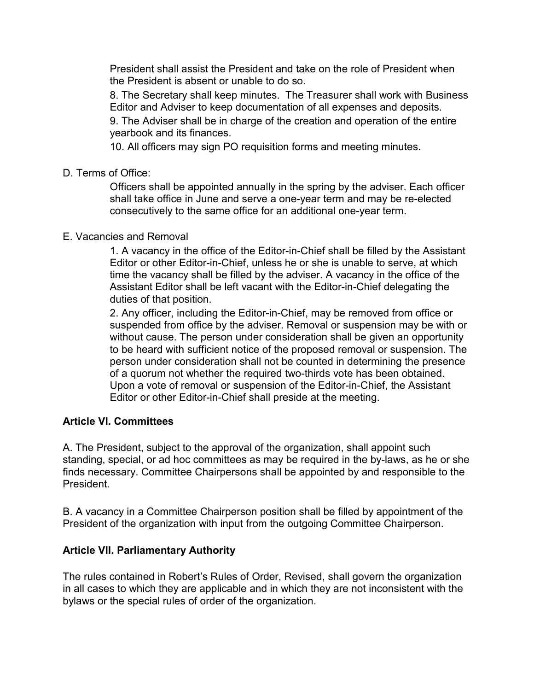President shall assist the President and take on the role of President when the President is absent or unable to do so.

8. The Secretary shall keep minutes. The Treasurer shall work with Business Editor and Adviser to keep documentation of all expenses and deposits.

9. The Adviser shall be in charge of the creation and operation of the entire yearbook and its finances.

10. All officers may sign PO requisition forms and meeting minutes.

D. Terms of Office:

Officers shall be appointed annually in the spring by the adviser. Each officer shall take office in June and serve a one-year term and may be re-elected consecutively to the same office for an additional one-year term.

## E. Vacancies and Removal

1. A vacancy in the office of the Editor-in-Chief shall be filled by the Assistant Editor or other Editor-in-Chief, unless he or she is unable to serve, at which time the vacancy shall be filled by the adviser. A vacancy in the office of the Assistant Editor shall be left vacant with the Editor-in-Chief delegating the duties of that position.

2. Any officer, including the Editor-in-Chief, may be removed from office or suspended from office by the adviser. Removal or suspension may be with or without cause. The person under consideration shall be given an opportunity to be heard with sufficient notice of the proposed removal or suspension. The person under consideration shall not be counted in determining the presence of a quorum not whether the required two-thirds vote has been obtained. Upon a vote of removal or suspension of the Editor-in-Chief, the Assistant Editor or other Editor-in-Chief shall preside at the meeting.

## **Article VI. Committees**

A. The President, subject to the approval of the organization, shall appoint such standing, special, or ad hoc committees as may be required in the by-laws, as he or she finds necessary. Committee Chairpersons shall be appointed by and responsible to the President.

B. A vacancy in a Committee Chairperson position shall be filled by appointment of the President of the organization with input from the outgoing Committee Chairperson.

## **Article VII. Parliamentary Authority**

The rules contained in Robert's Rules of Order, Revised, shall govern the organization in all cases to which they are applicable and in which they are not inconsistent with the bylaws or the special rules of order of the organization.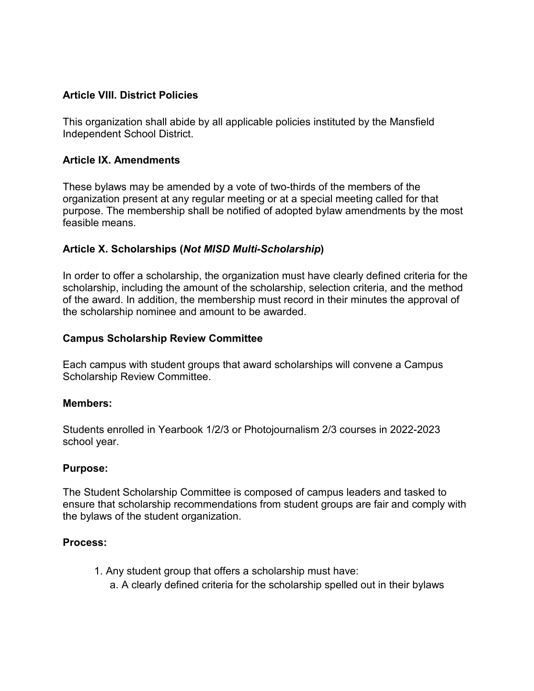#### **Article VIII. District Policies**

This organization shall abide by all applicable policies instituted by the Mansfield Independent School District.

#### **Article IX. Amendments**

These bylaws may be amended by a vote of two-thirds of the members of the organization present at any regular meeting or at a special meeting called for that purpose. The membership shall be notified of adopted bylaw amendments by the most feasible means.

#### **Article X. Scholarships (***Not MISD Multi-Scholarship***)**

In order to offer a scholarship, the organization must have clearly defined criteria for the scholarship, including the amount of the scholarship, selection criteria, and the method of the award. In addition, the membership must record in their minutes the approval of the scholarship nominee and amount to be awarded.

#### **Campus Scholarship Review Committee**

Each campus with student groups that award scholarships will convene a Campus Scholarship Review Committee.

#### **Members:**

Students enrolled in Yearbook 1/2/3 or Photojournalism 2/3 courses in 2022-2023 school year.

#### **Purpose:**

The Student Scholarship Committee is composed of campus leaders and tasked to ensure that scholarship recommendations from student groups are fair and comply with the bylaws of the student organization.

#### **Process:**

- 1. Any student group that offers a scholarship must have:
	- a. A clearly defined criteria for the scholarship spelled out in their bylaws